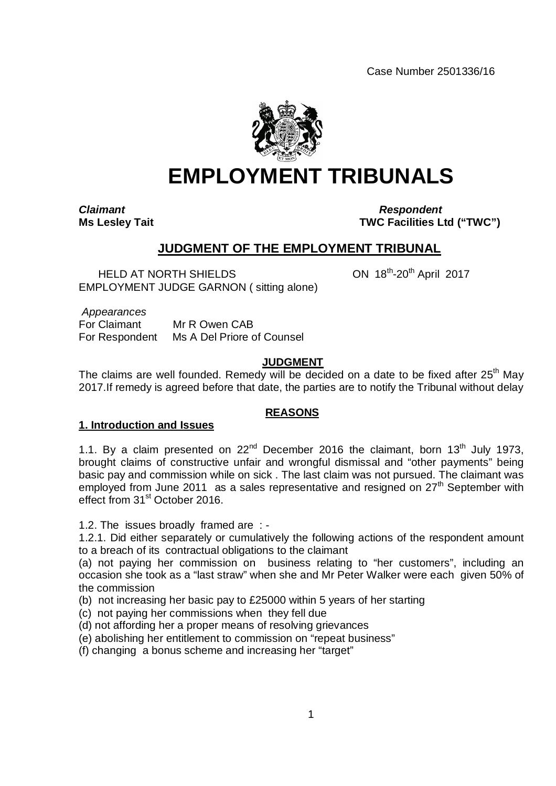

# **EMPLOYMENT TRIBUNALS**

*Claimant Respondent* **Ms Lesley Tait TWC Facilities Ltd ("TWC")**

# **JUDGMENT OF THE EMPLOYMENT TRIBUNAL**

HFLD AT NORTH SHIELDS EMPLOYMENT JUDGE GARNON ( sitting alone) ON 18<sup>th</sup>-20<sup>th</sup> April 2017

*Appearances* For Claimant Mr R Owen CAB For Respondent Ms A Del Priore of Counsel

## **JUDGMENT**

The claims are well founded. Remedy will be decided on a date to be fixed after  $25<sup>th</sup>$  May 2017.If remedy is agreed before that date, the parties are to notify the Tribunal without delay

## **REASONS**

#### **1. Introduction and Issues**

1.1. By a claim presented on  $22^{nd}$  December 2016 the claimant, born 13<sup>th</sup> July 1973, brought claims of constructive unfair and wrongful dismissal and "other payments" being basic pay and commission while on sick . The last claim was not pursued. The claimant was employed from June 2011 as a sales representative and resigned on  $27<sup>th</sup>$  September with effect from 31<sup>st</sup> October 2016.

1.2. The issues broadly framed are : -

1.2.1. Did either separately or cumulatively the following actions of the respondent amount to a breach of its contractual obligations to the claimant

(a) not paying her commission on business relating to "her customers", including an occasion she took as a "last straw" when she and Mr Peter Walker were each given 50% of the commission

(b) not increasing her basic pay to £25000 within 5 years of her starting

(c) not paying her commissions when they fell due

(d) not affording her a proper means of resolving grievances

(e) abolishing her entitlement to commission on "repeat business"

(f) changing a bonus scheme and increasing her "target"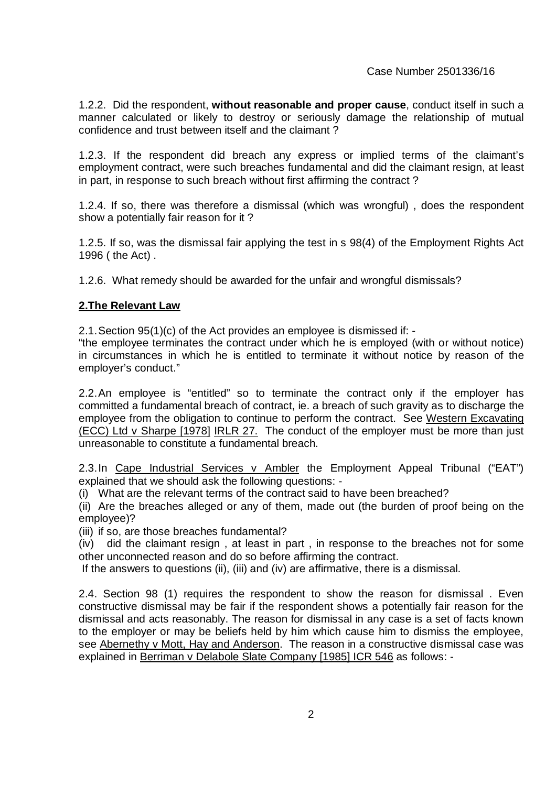1.2.2. Did the respondent, **without reasonable and proper cause**, conduct itself in such a manner calculated or likely to destroy or seriously damage the relationship of mutual confidence and trust between itself and the claimant ?

1.2.3. If the respondent did breach any express or implied terms of the claimant's employment contract, were such breaches fundamental and did the claimant resign, at least in part, in response to such breach without first affirming the contract ?

1.2.4. If so, there was therefore a dismissal (which was wrongful) , does the respondent show a potentially fair reason for it ?

1.2.5. If so, was the dismissal fair applying the test in s 98(4) of the Employment Rights Act 1996 ( the Act) .

1.2.6. What remedy should be awarded for the unfair and wrongful dismissals?

## **2.The Relevant Law**

2.1.Section 95(1)(c) of the Act provides an employee is dismissed if: -

"the employee terminates the contract under which he is employed (with or without notice) in circumstances in which he is entitled to terminate it without notice by reason of the employer's conduct."

2.2.An employee is "entitled" so to terminate the contract only if the employer has committed a fundamental breach of contract, ie. a breach of such gravity as to discharge the employee from the obligation to continue to perform the contract. See Western Excavating (ECC) Ltd v Sharpe [1978] IRLR 27. The conduct of the employer must be more than just unreasonable to constitute a fundamental breach.

2.3.In Cape Industrial Services v Ambler the Employment Appeal Tribunal ("EAT") explained that we should ask the following questions: -

(i) What are the relevant terms of the contract said to have been breached?

(ii) Are the breaches alleged or any of them, made out (the burden of proof being on the employee)?

(iii) if so, are those breaches fundamental?

(iv) did the claimant resign , at least in part , in response to the breaches not for some other unconnected reason and do so before affirming the contract.

If the answers to questions (ii), (iii) and (iv) are affirmative, there is a dismissal.

2.4. Section 98 (1) requires the respondent to show the reason for dismissal . Even constructive dismissal may be fair if the respondent shows a potentially fair reason for the dismissal and acts reasonably. The reason for dismissal in any case is a set of facts known to the employer or may be beliefs held by him which cause him to dismiss the employee, see Abernethy v Mott, Hay and Anderson. The reason in a constructive dismissal case was explained in Berriman v Delabole Slate Company [1985] ICR 546 as follows: -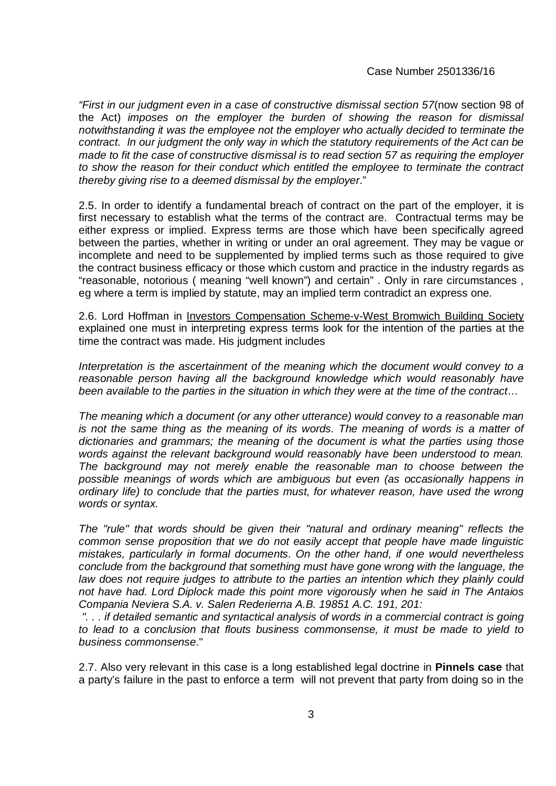*"First in our judgment even in a case of constructive dismissal section 57*(now section 98 of the Act) *imposes on the employer the burden of showing the reason for dismissal notwithstanding it was the employee not the employer who actually decided to terminate the contract. In our judgment the only way in which the statutory requirements of the Act can be made to fit the case of constructive dismissal is to read section 57 as requiring the employer to show the reason for their conduct which entitled the employee to terminate the contract thereby giving rise to a deemed dismissal by the employer*."

2.5. In order to identify a fundamental breach of contract on the part of the employer, it is first necessary to establish what the terms of the contract are. Contractual terms may be either express or implied. Express terms are those which have been specifically agreed between the parties, whether in writing or under an oral agreement. They may be vague or incomplete and need to be supplemented by implied terms such as those required to give the contract business efficacy or those which custom and practice in the industry regards as "reasonable, notorious ( meaning "well known") and certain" . Only in rare circumstances , eg where a term is implied by statute, may an implied term contradict an express one.

2.6. Lord Hoffman in Investors Compensation Scheme-v-West Bromwich Building Society explained one must in interpreting express terms look for the intention of the parties at the time the contract was made. His judgment includes

*Interpretation is the ascertainment of the meaning which the document would convey to a*  reasonable person having all the background knowledge which would reasonably have *been available to the parties in the situation in which they were at the time of the contract…*

*The meaning which a document (or any other utterance) would convey to a reasonable man is not the same thing as the meaning of its words. The meaning of words is a matter of dictionaries and grammars; the meaning of the document is what the parties using those words against the relevant background would reasonably have been understood to mean. The background may not merely enable the reasonable man to choose between the possible meanings of words which are ambiguous but even (as occasionally happens in ordinary life) to conclude that the parties must, for whatever reason, have used the wrong words or syntax.* 

*The "rule" that words should be given their "natural and ordinary meaning" reflects the common sense proposition that we do not easily accept that people have made linguistic mistakes, particularly in formal documents. On the other hand, if one would nevertheless conclude from the background that something must have gone wrong with the language, the law does not require judges to attribute to the parties an intention which they plainly could not have had. Lord Diplock made this point more vigorously when he said in The Antaios Compania Neviera S.A. v. Salen Rederierna A.B. 19851 A.C. 191, 201:* 

*". . . if detailed semantic and syntactical analysis of words in a commercial contract is going to lead to a conclusion that flouts business commonsense, it must be made to yield to business commonsense*."

2.7. Also very relevant in this case is a long established legal doctrine in **Pinnels case** that a party's failure in the past to enforce a term will not prevent that party from doing so in the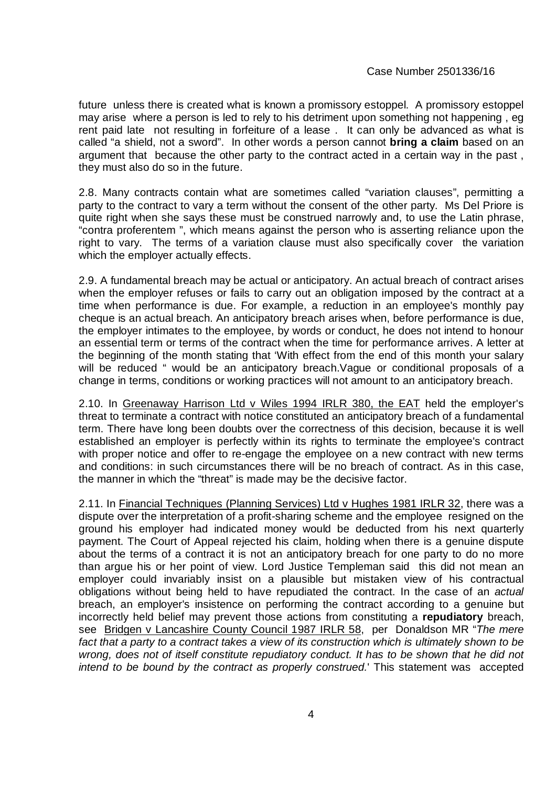future unless there is created what is known a promissory estoppel. A promissory estoppel may arise where a person is led to rely to his detriment upon something not happening , eg rent paid late not resulting in forfeiture of a lease . It can only be advanced as what is called "a shield, not a sword". In other words a person cannot **bring a claim** based on an argument that because the other party to the contract acted in a certain way in the past , they must also do so in the future.

2.8. Many contracts contain what are sometimes called "variation clauses", permitting a party to the contract to vary a term without the consent of the other party. Ms Del Priore is quite right when she says these must be construed narrowly and, to use the Latin phrase, "contra proferentem ", which means against the person who is asserting reliance upon the right to vary. The terms of a variation clause must also specifically cover the variation which the employer actually effects.

2.9. A fundamental breach may be actual or anticipatory. An actual breach of contract arises when the employer refuses or fails to carry out an obligation imposed by the contract at a time when performance is due. For example, a reduction in an employee's monthly pay cheque is an actual breach. An anticipatory breach arises when, before performance is due, the employer intimates to the employee, by words or conduct, he does not intend to honour an essential term or terms of the contract when the time for performance arrives. A letter at the beginning of the month stating that 'With effect from the end of this month your salary will be reduced " would be an anticipatory breach. Vague or conditional proposals of a change in terms, conditions or working practices will not amount to an anticipatory breach.

2.10. In Greenaway Harrison Ltd v Wiles 1994 IRLR 380, the EAT held the employer's threat to terminate a contract with notice constituted an anticipatory breach of a fundamental term. There have long been doubts over the correctness of this decision, because it is well established an employer is perfectly within its rights to terminate the employee's contract with proper notice and offer to re-engage the employee on a new contract with new terms and conditions: in such circumstances there will be no breach of contract. As in this case, the manner in which the "threat" is made may be the decisive factor.

2.11. In Financial Techniques (Planning Services) Ltd v Hughes 1981 IRLR 32, there was a dispute over the interpretation of a profit-sharing scheme and the employee resigned on the ground his employer had indicated money would be deducted from his next quarterly payment. The Court of Appeal rejected his claim, holding when there is a genuine dispute about the terms of a contract it is not an anticipatory breach for one party to do no more than argue his or her point of view. Lord Justice Templeman said this did not mean an employer could invariably insist on a plausible but mistaken view of his contractual obligations without being held to have repudiated the contract. In the case of an *actual* breach, an employer's insistence on performing the contract according to a genuine but incorrectly held belief may prevent those actions from constituting a **repudiatory** breach, see Bridgen v Lancashire County Council 1987 IRLR 58, per Donaldson MR "*The mere*  fact that a party to a contract takes a view of its construction which is ultimately shown to be *wrong, does not of itself constitute repudiatory conduct. It has to be shown that he did not intend to be bound by the contract as properly construed.*' This statement was accepted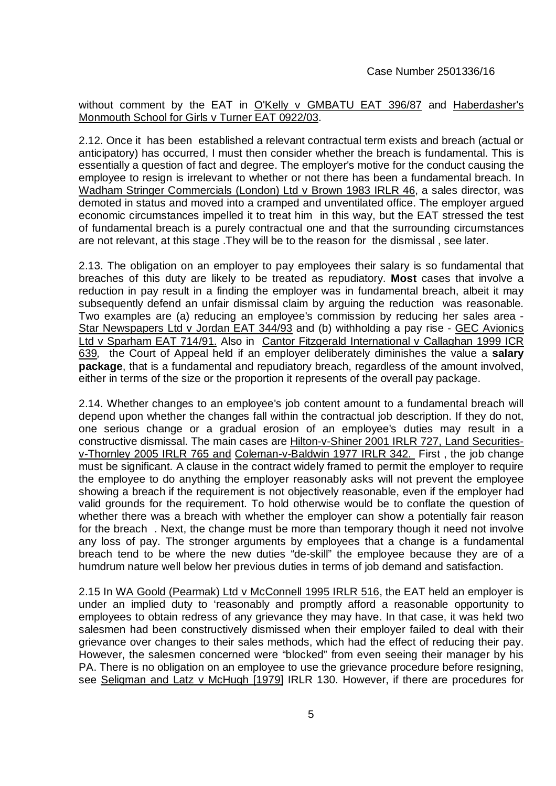without comment by the EAT in O'Kelly v GMBATU EAT 396/87 and Haberdasher's Monmouth School for Girls v Turner EAT 0922/03.

2.12. Once it has been established a relevant contractual term exists and breach (actual or anticipatory) has occurred, I must then consider whether the breach is fundamental. This is essentially a question of fact and degree. The employer's motive for the conduct causing the employee to resign is irrelevant to whether or not there has been a fundamental breach. In Wadham Stringer Commercials (London) Ltd v Brown 1983 IRLR 46, a sales director, was demoted in status and moved into a cramped and unventilated office. The employer argued economic circumstances impelled it to treat him in this way, but the EAT stressed the test of fundamental breach is a purely contractual one and that the surrounding circumstances are not relevant, at this stage .They will be to the reason for the dismissal , see later.

2.13. The obligation on an employer to pay employees their salary is so fundamental that breaches of this duty are likely to be treated as repudiatory. **Most** cases that involve a reduction in pay result in a finding the employer was in fundamental breach, albeit it may subsequently defend an unfair dismissal claim by arguing the reduction was reasonable. Two examples are (a) reducing an employee's commission by reducing her sales area - Star Newspapers Ltd v Jordan EAT 344/93 and (b) withholding a pay rise - GEC Avionics Ltd v Sparham EAT 714/91. Also in Cantor Fitzgerald International v Callaghan 1999 ICR 639*,* the Court of Appeal held if an employer deliberately diminishes the value a **salary package**, that is a fundamental and repudiatory breach, regardless of the amount involved, either in terms of the size or the proportion it represents of the overall pay package.

2.14. Whether changes to an employee's job content amount to a fundamental breach will depend upon whether the changes fall within the contractual job description. If they do not, one serious change or a gradual erosion of an employee's duties may result in a constructive dismissal. The main cases are Hilton-v-Shiner 2001 IRLR 727, Land Securitiesv-Thornley 2005 IRLR 765 and Coleman-v-Baldwin 1977 IRLR 342. First , the job change must be significant. A clause in the contract widely framed to permit the employer to require the employee to do anything the employer reasonably asks will not prevent the employee showing a breach if the requirement is not objectively reasonable, even if the employer had valid grounds for the requirement. To hold otherwise would be to conflate the question of whether there was a breach with whether the employer can show a potentially fair reason for the breach . Next, the change must be more than temporary though it need not involve any loss of pay. The stronger arguments by employees that a change is a fundamental breach tend to be where the new duties "de-skill" the employee because they are of a humdrum nature well below her previous duties in terms of job demand and satisfaction.

2.15 In WA Goold (Pearmak) Ltd v McConnell 1995 IRLR 516, the EAT held an employer is under an implied duty to 'reasonably and promptly afford a reasonable opportunity to employees to obtain redress of any grievance they may have. In that case, it was held two salesmen had been constructively dismissed when their employer failed to deal with their grievance over changes to their sales methods, which had the effect of reducing their pay. However, the salesmen concerned were "blocked" from even seeing their manager by his PA. There is no obligation on an employee to use the grievance procedure before resigning, see Seligman and Latz v McHugh [1979] IRLR 130. However, if there are procedures for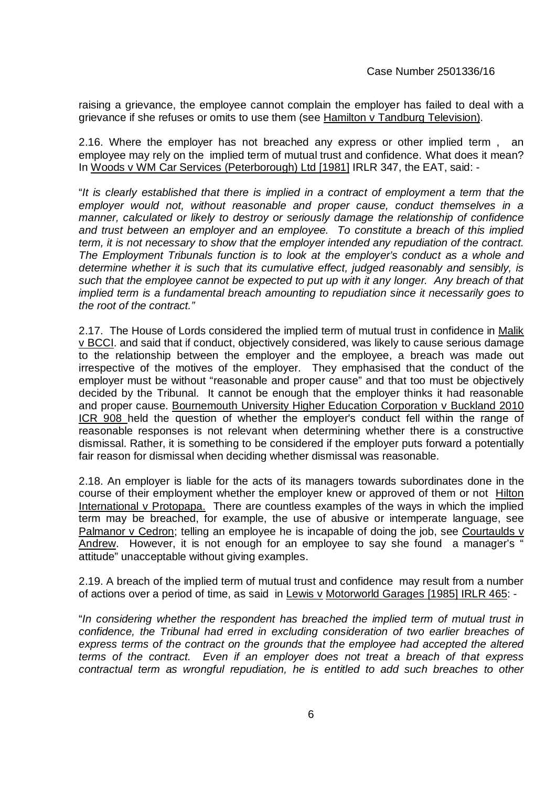raising a grievance, the employee cannot complain the employer has failed to deal with a grievance if she refuses or omits to use them (see Hamilton v Tandburg Television).

2.16. Where the employer has not breached any express or other implied term , an employee may rely on the implied term of mutual trust and confidence. What does it mean? In Woods v WM Car Services (Peterborough) Ltd [1981] IRLR 347, the EAT, said: -

"*It is clearly established that there is implied in a contract of employment a term that the employer would not, without reasonable and proper cause, conduct themselves in a manner, calculated or likely to destroy or seriously damage the relationship of confidence and trust between an employer and an employee. To constitute a breach of this implied term, it is not necessary to show that the employer intended any repudiation of the contract. The Employment Tribunals function is to look at the employer's conduct as a whole and determine whether it is such that its cumulative effect, judged reasonably and sensibly, is such that the employee cannot be expected to put up with it any longer. Any breach of that implied term is a fundamental breach amounting to repudiation since it necessarily goes to the root of the contract."*

2.17. The House of Lords considered the implied term of mutual trust in confidence in Malik v BCCI. and said that if conduct, objectively considered, was likely to cause serious damage to the relationship between the employer and the employee, a breach was made out irrespective of the motives of the employer. They emphasised that the conduct of the employer must be without "reasonable and proper cause" and that too must be objectively decided by the Tribunal. It cannot be enough that the employer thinks it had reasonable and proper cause. Bournemouth University Higher Education Corporation v Buckland 2010 ICR 908 held the question of whether the employer's conduct fell within the range of reasonable responses is not relevant when determining whether there is a constructive dismissal. Rather, it is something to be considered if the employer puts forward a potentially fair reason for dismissal when deciding whether dismissal was reasonable.

2.18. An employer is liable for the acts of its managers towards subordinates done in the course of their employment whether the employer knew or approved of them or not Hilton International v Protopapa. There are countless examples of the ways in which the implied term may be breached, for example, the use of abusive or intemperate language, see Palmanor v Cedron; telling an employee he is incapable of doing the job, see Courtaulds v Andrew. However, it is not enough for an employee to say she found a manager's " attitude" unacceptable without giving examples.

2.19. A breach of the implied term of mutual trust and confidence may result from a number of actions over a period of time, as said in Lewis v Motorworld Garages [1985] IRLR 465: -

"*In considering whether the respondent has breached the implied term of mutual trust in confidence, the Tribunal had erred in excluding consideration of two earlier breaches of express terms of the contract on the grounds that the employee had accepted the altered terms of the contract. Even if an employer does not treat a breach of that express contractual term as wrongful repudiation, he is entitled to add such breaches to other*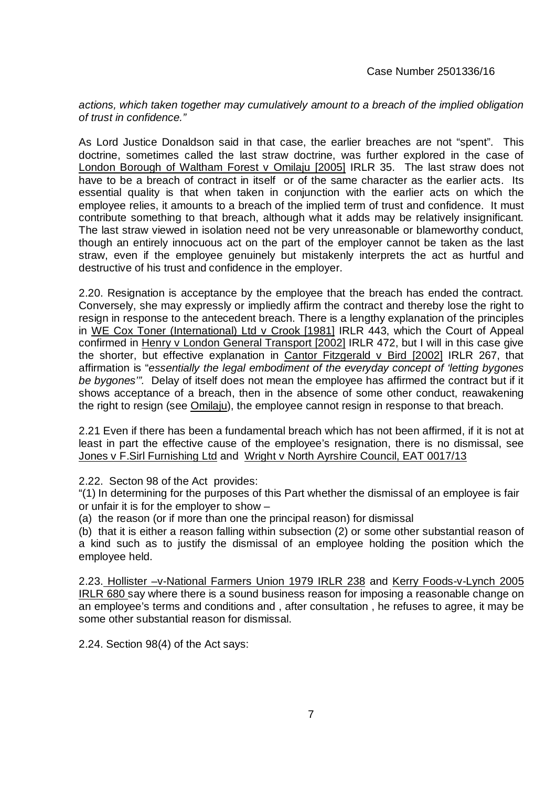*actions, which taken together may cumulatively amount to a breach of the implied obligation of trust in confidence."*

As Lord Justice Donaldson said in that case, the earlier breaches are not "spent". This doctrine, sometimes called the last straw doctrine, was further explored in the case of London Borough of Waltham Forest v Omilaju [2005] IRLR 35. The last straw does not have to be a breach of contract in itself or of the same character as the earlier acts. Its essential quality is that when taken in conjunction with the earlier acts on which the employee relies, it amounts to a breach of the implied term of trust and confidence. It must contribute something to that breach, although what it adds may be relatively insignificant. The last straw viewed in isolation need not be very unreasonable or blameworthy conduct, though an entirely innocuous act on the part of the employer cannot be taken as the last straw, even if the employee genuinely but mistakenly interprets the act as hurtful and destructive of his trust and confidence in the employer.

2.20. Resignation is acceptance by the employee that the breach has ended the contract. Conversely, she may expressly or impliedly affirm the contract and thereby lose the right to resign in response to the antecedent breach. There is a lengthy explanation of the principles in WE Cox Toner (International) Ltd v Crook [1981] IRLR 443, which the Court of Appeal confirmed in Henry v London General Transport [2002] IRLR 472, but I will in this case give the shorter, but effective explanation in Cantor Fitzgerald v Bird [2002] IRLR 267, that affirmation is "*essentially the legal embodiment of the everyday concept of 'letting bygones be bygones'".* Delay of itself does not mean the employee has affirmed the contract but if it shows acceptance of a breach, then in the absence of some other conduct, reawakening the right to resign (see Omilaju), the employee cannot resign in response to that breach.

2.21 Even if there has been a fundamental breach which has not been affirmed, if it is not at least in part the effective cause of the employee's resignation, there is no dismissal, see Jones v F.Sirl Furnishing Ltd and Wright v North Ayrshire Council, EAT 0017/13

2.22. Secton 98 of the Act provides:

"(1) In determining for the purposes of this Part whether the dismissal of an employee is fair or unfair it is for the employer to show –

(a) the reason (or if more than one the principal reason) for dismissal

(b) that it is either a reason falling within subsection (2) or some other substantial reason of a kind such as to justify the dismissal of an employee holding the position which the employee held.

2.23. Hollister –v-National Farmers Union 1979 IRLR 238 and Kerry Foods-v-Lynch 2005 IRLR 680 say where there is a sound business reason for imposing a reasonable change on an employee's terms and conditions and , after consultation , he refuses to agree, it may be some other substantial reason for dismissal.

2.24. Section 98(4) of the Act says: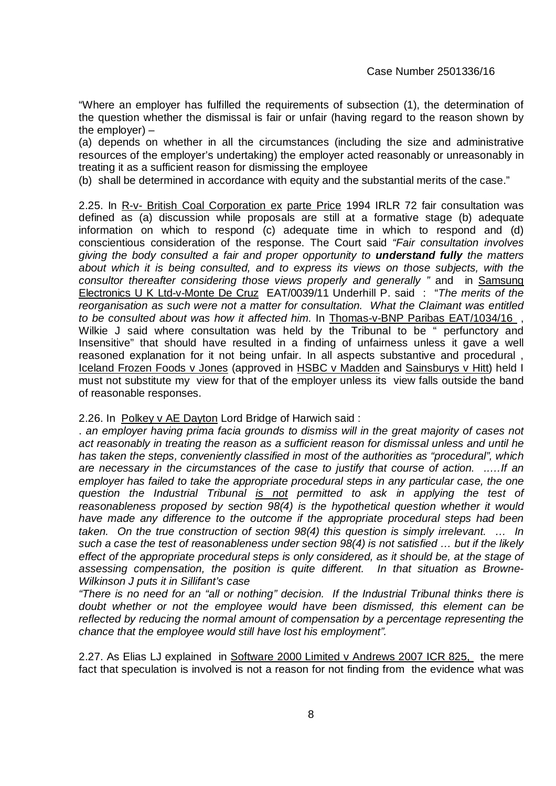"Where an employer has fulfilled the requirements of subsection (1), the determination of the question whether the dismissal is fair or unfair (having regard to the reason shown by the employer) –

(a) depends on whether in all the circumstances (including the size and administrative resources of the employer's undertaking) the employer acted reasonably or unreasonably in treating it as a sufficient reason for dismissing the employee

(b) shall be determined in accordance with equity and the substantial merits of the case."

2.25. In R-v- British Coal Corporation ex parte Price 1994 IRLR 72 fair consultation was defined as (a) discussion while proposals are still at a formative stage (b) adequate information on which to respond (c) adequate time in which to respond and (d) conscientious consideration of the response. The Court said *"Fair consultation involves giving the body consulted a fair and proper opportunity to understand fully the matters about which it is being consulted, and to express its views on those subjects, with the consultor thereafter considering those views properly and generally "* and in Samsung Electronics U K Ltd-v-Monte De Cruz EAT/0039/11 Underhill P. said : "*The merits of the reorganisation as such were not a matter for consultation. What the Claimant was entitled to be consulted about was how it affected him.* In Thomas-v-BNP Paribas EAT/1034/16 , Wilkie J said where consultation was held by the Tribunal to be " perfunctory and Insensitive" that should have resulted in a finding of unfairness unless it gave a well reasoned explanation for it not being unfair. In all aspects substantive and procedural , Iceland Frozen Foods v Jones (approved in HSBC v Madden and Sainsburys v Hitt) held I must not substitute my view for that of the employer unless its view falls outside the band of reasonable responses.

2.26. In Polkey v AE Dayton Lord Bridge of Harwich said :

. *an employer having prima facia grounds to dismiss will in the great majority of cases not act reasonably in treating the reason as a sufficient reason for dismissal unless and until he has taken the steps, conveniently classified in most of the authorities as "procedural", which are necessary in the circumstances of the case to justify that course of action. ..…If an employer has failed to take the appropriate procedural steps in any particular case, the one question the Industrial Tribunal is not permitted to ask in applying the test of reasonableness proposed by section 98(4) is the hypothetical question whether it would have made any difference to the outcome if the appropriate procedural steps had been taken. On the true construction of section 98(4) this question is simply irrelevant. … In such a case the test of reasonableness under section 98(4) is not satisfied … but if the likely effect of the appropriate procedural steps is only considered, as it should be, at the stage of assessing compensation, the position is quite different. In that situation as Browne-Wilkinson J puts it in Sillifant's case*

*"There is no need for an "all or nothing" decision. If the Industrial Tribunal thinks there is doubt whether or not the employee would have been dismissed, this element can be reflected by reducing the normal amount of compensation by a percentage representing the chance that the employee would still have lost his employment".* 

2.27. As Elias LJ explained in Software 2000 Limited v Andrews 2007 ICR 825, the mere fact that speculation is involved is not a reason for not finding from the evidence what was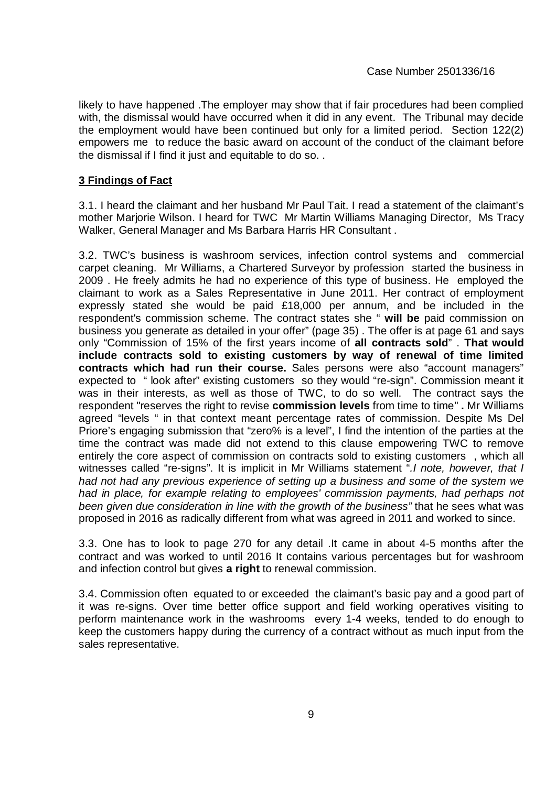likely to have happened .The employer may show that if fair procedures had been complied with, the dismissal would have occurred when it did in any event. The Tribunal may decide the employment would have been continued but only for a limited period. Section 122(2) empowers me to reduce the basic award on account of the conduct of the claimant before the dismissal if I find it just and equitable to do so. .

## **3 Findings of Fact**

3.1. I heard the claimant and her husband Mr Paul Tait. I read a statement of the claimant's mother Marjorie Wilson. I heard for TWC Mr Martin Williams Managing Director, Ms Tracy Walker, General Manager and Ms Barbara Harris HR Consultant .

3.2. TWC's business is washroom services, infection control systems and commercial carpet cleaning. Mr Williams, a Chartered Surveyor by profession started the business in 2009 . He freely admits he had no experience of this type of business. He employed the claimant to work as a Sales Representative in June 2011. Her contract of employment expressly stated she would be paid £18,000 per annum, and be included in the respondent's commission scheme. The contract states she " **will be** paid commission on business you generate as detailed in your offer" (page 35) . The offer is at page 61 and says only "Commission of 15% of the first years income of **all contracts sold**" . **That would include contracts sold to existing customers by way of renewal of time limited contracts which had run their course.** Sales persons were also "account managers" expected to " look after" existing customers so they would "re-sign". Commission meant it was in their interests, as well as those of TWC, to do so well. The contract says the respondent "reserves the right to revise **commission levels** from time to time" **.** Mr Williams agreed "levels " in that context meant percentage rates of commission. Despite Ms Del Priore's engaging submission that "zero% is a level", I find the intention of the parties at the time the contract was made did not extend to this clause empowering TWC to remove entirely the core aspect of commission on contracts sold to existing customers , which all witnesses called "re-signs". It is implicit in Mr Williams statement "*.I note, however, that I had not had any previous experience of setting up a business and some of the system we had in place, for example relating to employees' commission payments, had perhaps not been given due consideration in line with the growth of the business"* that he sees what was proposed in 2016 as radically different from what was agreed in 2011 and worked to since.

3.3. One has to look to page 270 for any detail .It came in about 4-5 months after the contract and was worked to until 2016 It contains various percentages but for washroom and infection control but gives **a right** to renewal commission.

3.4. Commission often equated to or exceeded the claimant's basic pay and a good part of it was re-signs. Over time better office support and field working operatives visiting to perform maintenance work in the washrooms every 1-4 weeks, tended to do enough to keep the customers happy during the currency of a contract without as much input from the sales representative.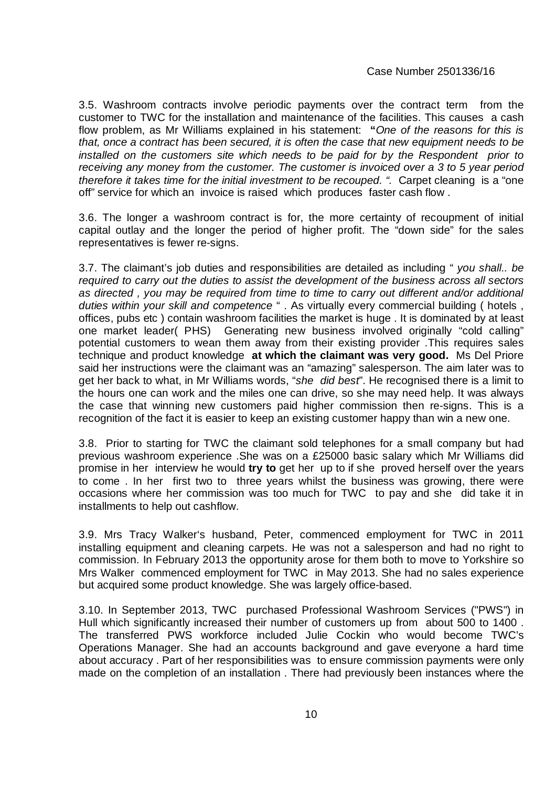3.5. Washroom contracts involve periodic payments over the contract term from the customer to TWC for the installation and maintenance of the facilities. This causes a cash flow problem, as Mr Williams explained in his statement: **"***One of the reasons for this is that, once a contract has been secured, it is often the case that new equipment needs to be installed on the customers site which needs to be paid for by the Respondent prior to receiving any money from the customer. The customer is invoiced over a 3 to 5 year period therefore it takes time for the initial investment to be recouped. ".* Carpet cleaning is a "one off" service for which an invoice is raised which produces faster cash flow .

3.6. The longer a washroom contract is for, the more certainty of recoupment of initial capital outlay and the longer the period of higher profit. The "down side" for the sales representatives is fewer re-signs.

3.7. The claimant's job duties and responsibilities are detailed as including " *you shall.. be required to carry out the duties to assist the development of the business across all sectors as directed , you may be required from time to time to carry out different and/or additional duties within your skill and competence* " . As virtually every commercial building ( hotels , offices, pubs etc ) contain washroom facilities the market is huge . It is dominated by at least one market leader( PHS) Generating new business involved originally "cold calling" potential customers to wean them away from their existing provider .This requires sales technique and product knowledge **at which the claimant was very good.** Ms Del Priore said her instructions were the claimant was an "amazing" salesperson. The aim later was to get her back to what, in Mr Williams words, "*she did best*". He recognised there is a limit to the hours one can work and the miles one can drive, so she may need help. It was always the case that winning new customers paid higher commission then re-signs. This is a recognition of the fact it is easier to keep an existing customer happy than win a new one.

3.8. Prior to starting for TWC the claimant sold telephones for a small company but had previous washroom experience .She was on a £25000 basic salary which Mr Williams did promise in her interview he would **try to** get her up to if she proved herself over the years to come . In her first two to three years whilst the business was growing, there were occasions where her commission was too much for TWC to pay and she did take it in installments to help out cashflow.

3.9. Mrs Tracy Walker's husband, Peter, commenced employment for TWC in 2011 installing equipment and cleaning carpets. He was not a salesperson and had no right to commission. In February 2013 the opportunity arose for them both to move to Yorkshire so Mrs Walker commenced employment for TWC in May 2013. She had no sales experience but acquired some product knowledge. She was largely office-based.

3.10. In September 2013, TWC purchased Professional Washroom Services ("PWS") in Hull which significantly increased their number of customers up from about 500 to 1400 . The transferred PWS workforce included Julie Cockin who would become TWC's Operations Manager. She had an accounts background and gave everyone a hard time about accuracy . Part of her responsibilities was to ensure commission payments were only made on the completion of an installation . There had previously been instances where the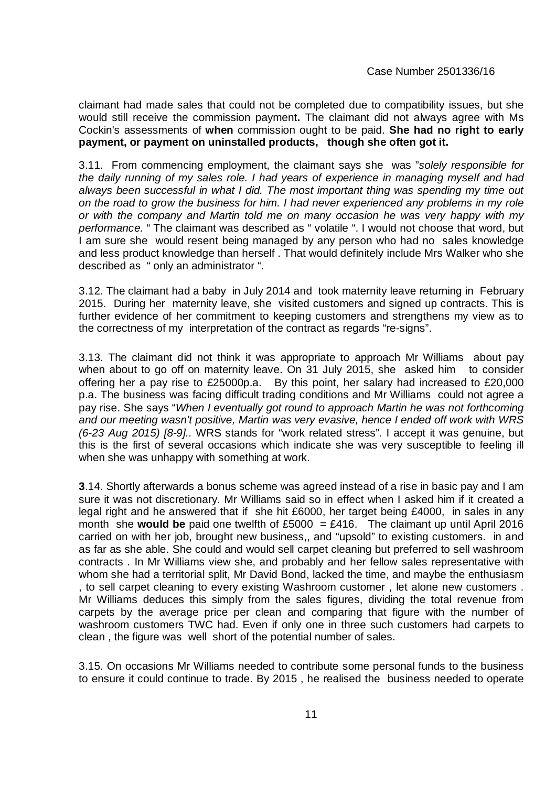claimant had made sales that could not be completed due to compatibility issues, but she would still receive the commission payment**.** The claimant did not always agree with Ms Cockin's assessments of **when** commission ought to be paid. **She had no right to early payment, or payment on uninstalled products, though she often got it.**

3.11. From commencing employment, the claimant says she was "*solely responsible for the daily running of my sales role. I had years of experience in managing myself and had always been successful in what I did. The most important thing was spending my time out on the road to grow the business for him. I had never experienced any problems in my role or with the company and Martin told me on many occasion he was very happy with my performance.* " The claimant was described as " volatile ". I would not choose that word, but I am sure she would resent being managed by any person who had no sales knowledge and less product knowledge than herself . That would definitely include Mrs Walker who she described as " only an administrator ".

3.12. The claimant had a baby in July 2014 and took maternity leave returning in February 2015. During her maternity leave, she visited customers and signed up contracts. This is further evidence of her commitment to keeping customers and strengthens my view as to the correctness of my interpretation of the contract as regards "re-signs".

3.13. The claimant did not think it was appropriate to approach Mr Williams about pay when about to go off on maternity leave. On 31 July 2015, she asked him to consider offering her a pay rise to £25000p.a. By this point, her salary had increased to £20,000 p.a. The business was facing difficult trading conditions and Mr Williams could not agree a pay rise. She says "*When I eventually got round to approach Martin he was not forthcoming and our meeting wasn't positive, Martin was very evasive, hence I ended off work with WRS (6-23 Aug 2015) [8-9]..* WRS stands for "work related stress". I accept it was genuine, but this is the first of several occasions which indicate she was very susceptible to feeling ill when she was unhappy with something at work.

**3**.14. Shortly afterwards a bonus scheme was agreed instead of a rise in basic pay and I am sure it was not discretionary. Mr Williams said so in effect when I asked him if it created a legal right and he answered that if she hit £6000, her target being £4000, in sales in any month she **would be** paid one twelfth of  $£5000 = £416$ . The claimant up until April 2016 carried on with her job, brought new business,, and "upsold" to existing customers. in and as far as she able. She could and would sell carpet cleaning but preferred to sell washroom contracts . In Mr Williams view she, and probably and her fellow sales representative with whom she had a territorial split, Mr David Bond, lacked the time, and maybe the enthusiasm , to sell carpet cleaning to every existing Washroom customer , let alone new customers . Mr Williams deduces this simply from the sales figures, dividing the total revenue from carpets by the average price per clean and comparing that figure with the number of washroom customers TWC had. Even if only one in three such customers had carpets to clean , the figure was well short of the potential number of sales.

3.15. On occasions Mr Williams needed to contribute some personal funds to the business to ensure it could continue to trade. By 2015 , he realised the business needed to operate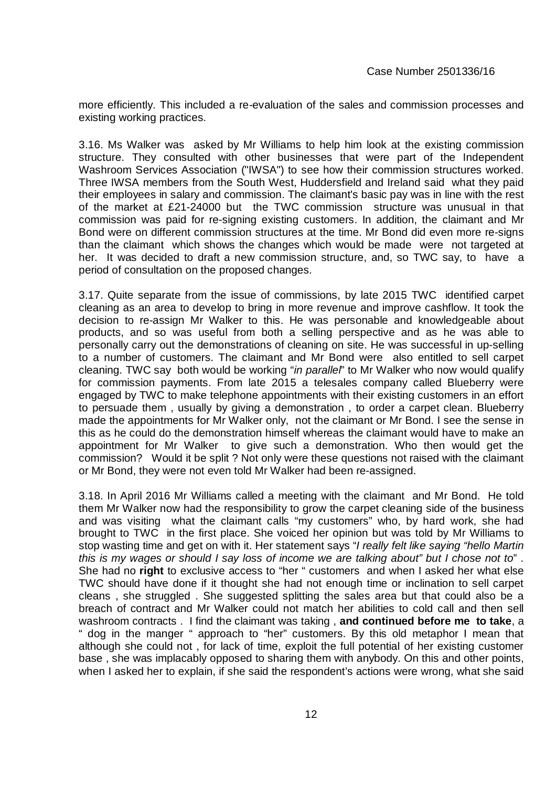more efficiently. This included a re-evaluation of the sales and commission processes and existing working practices.

3.16. Ms Walker was asked by Mr Williams to help him look at the existing commission structure. They consulted with other businesses that were part of the Independent Washroom Services Association ("IWSA") to see how their commission structures worked. Three IWSA members from the South West, Huddersfield and Ireland said what they paid their employees in salary and commission. The claimant's basic pay was in line with the rest of the market at £21-24000 but the TWC commission structure was unusual in that commission was paid for re-signing existing customers. In addition, the claimant and Mr Bond were on different commission structures at the time. Mr Bond did even more re-signs than the claimant which shows the changes which would be made were not targeted at her. It was decided to draft a new commission structure, and, so TWC say, to have a period of consultation on the proposed changes.

3.17. Quite separate from the issue of commissions, by late 2015 TWC identified carpet cleaning as an area to develop to bring in more revenue and improve cashflow. It took the decision to re-assign Mr Walker to this. He was personable and knowledgeable about products, and so was useful from both a selling perspective and as he was able to personally carry out the demonstrations of cleaning on site. He was successful in up-selling to a number of customers. The claimant and Mr Bond were also entitled to sell carpet cleaning. TWC say both would be working "*in parallel*" to Mr Walker who now would qualify for commission payments. From late 2015 a telesales company called Blueberry were engaged by TWC to make telephone appointments with their existing customers in an effort to persuade them , usually by giving a demonstration , to order a carpet clean. Blueberry made the appointments for Mr Walker only, not the claimant or Mr Bond. I see the sense in this as he could do the demonstration himself whereas the claimant would have to make an appointment for Mr Walker to give such a demonstration. Who then would get the commission? Would it be split ? Not only were these questions not raised with the claimant or Mr Bond, they were not even told Mr Walker had been re-assigned.

3.18. In April 2016 Mr Williams called a meeting with the claimant and Mr Bond. He told them Mr Walker now had the responsibility to grow the carpet cleaning side of the business and was visiting what the claimant calls "my customers" who, by hard work, she had brought to TWC in the first place. She voiced her opinion but was told by Mr Williams to stop wasting time and get on with it. Her statement says "*I really felt like saying "hello Martin this is my wages or should I say loss of income we are talking about" but I chose not to*" . She had no **right** to exclusive access to "her " customers and when I asked her what else TWC should have done if it thought she had not enough time or inclination to sell carpet cleans , she struggled . She suggested splitting the sales area but that could also be a breach of contract and Mr Walker could not match her abilities to cold call and then sell washroom contracts . I find the claimant was taking , **and continued before me to take**, a " dog in the manger " approach to "her" customers. By this old metaphor I mean that although she could not , for lack of time, exploit the full potential of her existing customer base , she was implacably opposed to sharing them with anybody. On this and other points, when I asked her to explain, if she said the respondent's actions were wrong, what she said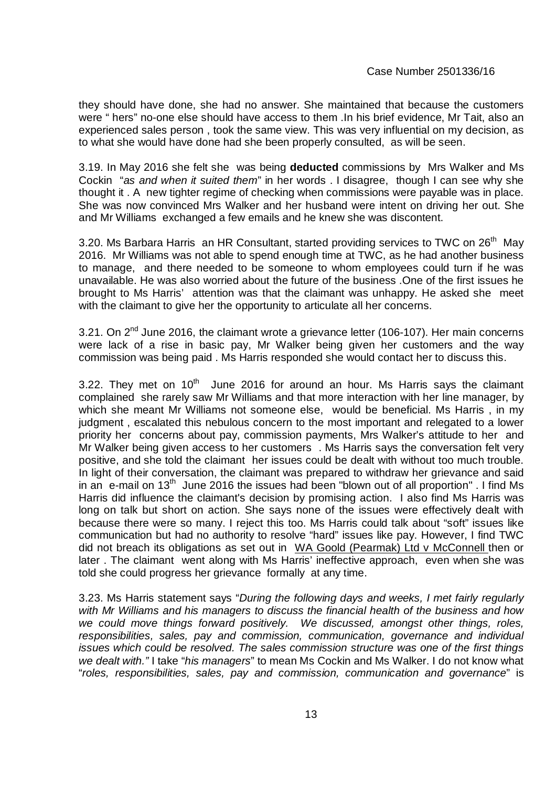they should have done, she had no answer. She maintained that because the customers were " hers" no-one else should have access to them .In his brief evidence, Mr Tait, also an experienced sales person , took the same view. This was very influential on my decision, as to what she would have done had she been properly consulted, as will be seen.

3.19. In May 2016 she felt she was being **deducted** commissions by Mrs Walker and Ms Cockin "*as and when it suited them*" in her words . I disagree, though I can see why she thought it . A new tighter regime of checking when commissions were payable was in place. She was now convinced Mrs Walker and her husband were intent on driving her out. She and Mr Williams exchanged a few emails and he knew she was discontent.

3.20. Ms Barbara Harris an HR Consultant, started providing services to TWC on 26<sup>th</sup> May 2016. Mr Williams was not able to spend enough time at TWC, as he had another business to manage, and there needed to be someone to whom employees could turn if he was unavailable. He was also worried about the future of the business .One of the first issues he brought to Ms Harris' attention was that the claimant was unhappy. He asked she meet with the claimant to give her the opportunity to articulate all her concerns.

3.21. On 2<sup>nd</sup> June 2016, the claimant wrote a grievance letter (106-107). Her main concerns were lack of a rise in basic pay, Mr Walker being given her customers and the way commission was being paid . Ms Harris responded she would contact her to discuss this.

3.22. They met on  $10<sup>th</sup>$  June 2016 for around an hour. Ms Harris says the claimant complained she rarely saw Mr Williams and that more interaction with her line manager, by which she meant Mr Williams not someone else, would be beneficial. Ms Harris, in my judgment , escalated this nebulous concern to the most important and relegated to a lower priority her concerns about pay, commission payments, Mrs Walker's attitude to her and Mr Walker being given access to her customers . Ms Harris says the conversation felt very positive, and she told the claimant her issues could be dealt with without too much trouble. In light of their conversation, the claimant was prepared to withdraw her grievance and said in an e-mail on  $13<sup>th</sup>$  June 2016 the issues had been "blown out of all proportion". I find Ms Harris did influence the claimant's decision by promising action. I also find Ms Harris was long on talk but short on action. She says none of the issues were effectively dealt with because there were so many. I reject this too. Ms Harris could talk about "soft" issues like communication but had no authority to resolve "hard" issues like pay. However, I find TWC did not breach its obligations as set out in WA Goold (Pearmak) Ltd v McConnell then or later . The claimant went along with Ms Harris' ineffective approach, even when she was told she could progress her grievance formally at any time.

3.23. Ms Harris statement says "*During the following days and weeks, I met fairly regularly with Mr Williams and his managers to discuss the financial health of the business and how we could move things forward positively. We discussed, amongst other things, roles, responsibilities, sales, pay and commission, communication, governance and individual issues which could be resolved. The sales commission structure was one of the first things we dealt with."* I take "*his managers*" to mean Ms Cockin and Ms Walker. I do not know what "*roles, responsibilities, sales, pay and commission, communication and governance*" is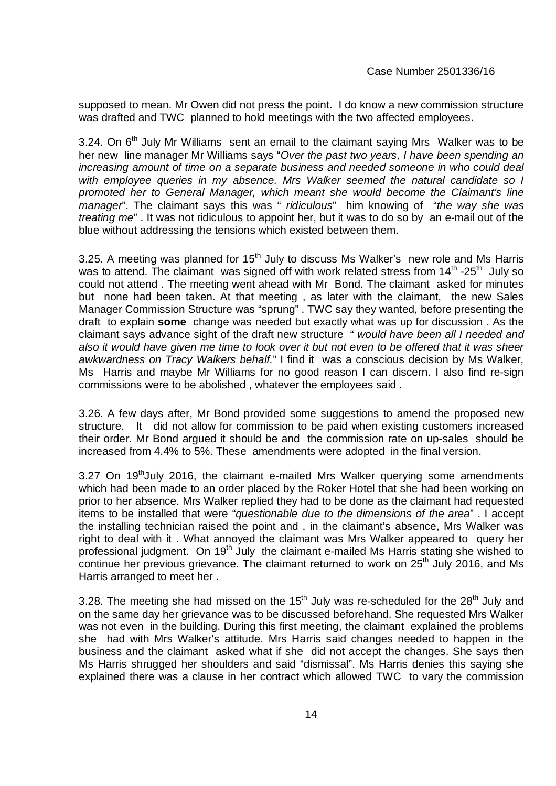supposed to mean. Mr Owen did not press the point. I do know a new commission structure was drafted and TWC planned to hold meetings with the two affected employees.

3.24. On  $6<sup>th</sup>$  July Mr Williams sent an email to the claimant saying Mrs Walker was to be her new line manager Mr Williams says "*Over the past two years, I have been spending an increasing amount of time on a separate business and needed someone in who could deal with employee queries in my absence. Mrs Walker seemed the natural candidate so I promoted her to General Manager, which meant she would become the Claimant's line manager*". The claimant says this was " *ridiculous*" him knowing of "*the way she was treating me*" . It was not ridiculous to appoint her, but it was to do so by an e-mail out of the blue without addressing the tensions which existed between them.

3.25. A meeting was planned for  $15<sup>th</sup>$  July to discuss Ms Walker's new role and Ms Harris was to attend. The claimant was signed off with work related stress from  $14^{\text{th}}$  -25<sup>th</sup> July so could not attend . The meeting went ahead with Mr Bond. The claimant asked for minutes but none had been taken. At that meeting , as later with the claimant, the new Sales Manager Commission Structure was "sprung" . TWC say they wanted, before presenting the draft to explain **some** change was needed but exactly what was up for discussion . As the claimant says advance sight of the draft new structure " *would have been all I needed and also it would have given me time to look over it but not even to be offered that it was sheer awkwardness on Tracy Walkers behalf.*" I find it was a conscious decision by Ms Walker, Ms Harris and maybe Mr Williams for no good reason I can discern. I also find re-sign commissions were to be abolished , whatever the employees said .

3.26. A few days after, Mr Bond provided some suggestions to amend the proposed new structure. It did not allow for commission to be paid when existing customers increased their order. Mr Bond argued it should be and the commission rate on up-sales should be increased from 4.4% to 5%. These amendments were adopted in the final version.

3.27 On 19<sup>th</sup>July 2016, the claimant e-mailed Mrs Walker querying some amendments which had been made to an order placed by the Roker Hotel that she had been working on prior to her absence. Mrs Walker replied they had to be done as the claimant had requested items to be installed that were "*questionable due to the dimensions of the area*" . I accept the installing technician raised the point and , in the claimant's absence, Mrs Walker was right to deal with it . What annoyed the claimant was Mrs Walker appeared to query her professional judgment. On 19<sup>th</sup> July the claimant e-mailed Ms Harris stating she wished to continue her previous grievance. The claimant returned to work on 25<sup>th</sup> July 2016, and Ms Harris arranged to meet her .

3.28. The meeting she had missed on the 15<sup>th</sup> July was re-scheduled for the 28<sup>th</sup> July and on the same day her grievance was to be discussed beforehand. She requested Mrs Walker was not even in the building. During this first meeting, the claimant explained the problems she had with Mrs Walker's attitude. Mrs Harris said changes needed to happen in the business and the claimant asked what if she did not accept the changes. She says then Ms Harris shrugged her shoulders and said "dismissal". Ms Harris denies this saying she explained there was a clause in her contract which allowed TWC to vary the commission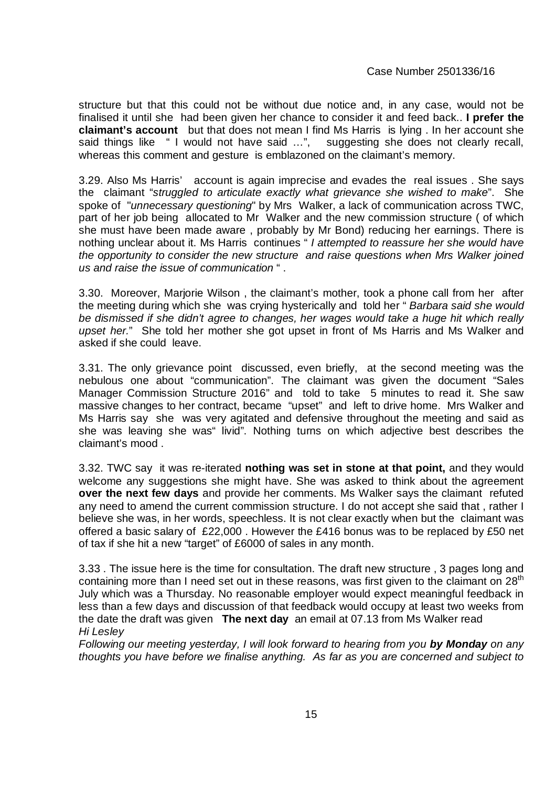structure but that this could not be without due notice and, in any case, would not be finalised it until she had been given her chance to consider it and feed back.. **I prefer the claimant's account** but that does not mean I find Ms Harris is lying . In her account she said things like " I would not have said ...", suggesting she does not clearly recall, whereas this comment and gesture is emblazoned on the claimant's memory.

3.29. Also Ms Harris' account is again imprecise and evades the real issues . She says the claimant "*struggled to articulate exactly what grievance she wished to make*". She spoke of "*unnecessary questioning*" by Mrs Walker, a lack of communication across TWC, part of her job being allocated to Mr Walker and the new commission structure ( of which she must have been made aware , probably by Mr Bond) reducing her earnings. There is nothing unclear about it. Ms Harris continues " *I attempted to reassure her she would have the opportunity to consider the new structure and raise questions when Mrs Walker joined us and raise the issue of communication* " .

3.30. Moreover, Marjorie Wilson , the claimant's mother, took a phone call from her after the meeting during which she was crying hysterically and told her " *Barbara said she would be dismissed if she didn't agree to changes, her wages would take a huge hit which really upset her.*" She told her mother she got upset in front of Ms Harris and Ms Walker and asked if she could leave.

3.31. The only grievance point discussed, even briefly, at the second meeting was the nebulous one about "communication". The claimant was given the document "Sales Manager Commission Structure 2016" and told to take 5 minutes to read it. She saw massive changes to her contract, became "upset" and left to drive home. Mrs Walker and Ms Harris say she was very agitated and defensive throughout the meeting and said as she was leaving she was" livid". Nothing turns on which adjective best describes the claimant's mood .

3.32. TWC say it was re-iterated **nothing was set in stone at that point,** and they would welcome any suggestions she might have. She was asked to think about the agreement **over the next few days** and provide her comments. Ms Walker says the claimant refuted any need to amend the current commission structure. I do not accept she said that , rather I believe she was, in her words, speechless. It is not clear exactly when but the claimant was offered a basic salary of £22,000 . However the £416 bonus was to be replaced by £50 net of tax if she hit a new "target" of £6000 of sales in any month.

3.33 . The issue here is the time for consultation. The draft new structure , 3 pages long and containing more than I need set out in these reasons, was first given to the claimant on  $28<sup>th</sup>$ July which was a Thursday. No reasonable employer would expect meaningful feedback in less than a few days and discussion of that feedback would occupy at least two weeks from the date the draft was given **The next day** an email at 07.13 from Ms Walker read *Hi Lesley*

*Following our meeting yesterday, I will look forward to hearing from you by Monday on any thoughts you have before we finalise anything. As far as you are concerned and subject to*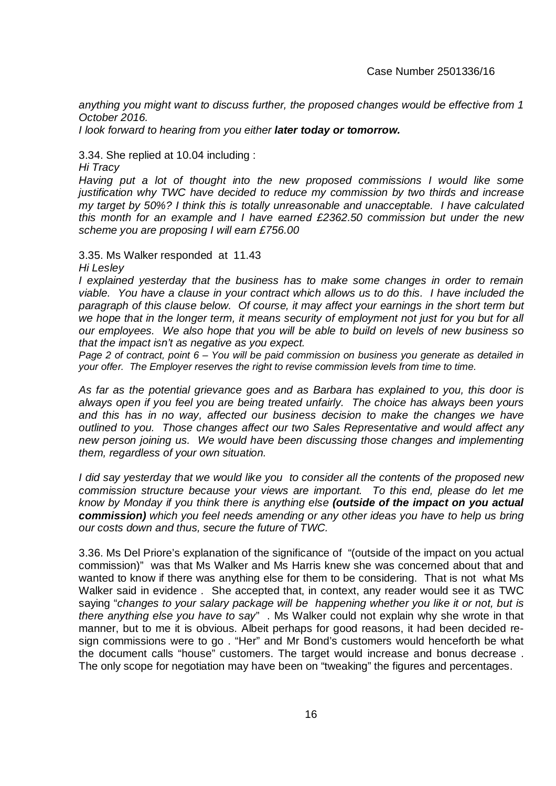*anything you might want to discuss further, the proposed changes would be effective from 1 October 2016.*

*I look forward to hearing from you either later today or tomorrow.*

#### 3.34. She replied at 10.04 including :

*Hi Tracy*

*Having put a lot of thought into the new proposed commissions I would like some justification why TWC have decided to reduce my commission by two thirds and increase my target by 50%? I think this is totally unreasonable and unacceptable. I have calculated this month for an example and I have earned £2362.50 commission but under the new scheme you are proposing I will earn £756.00*

3.35. Ms Walker responded at 11.43

*Hi Lesley*

*I* explained yesterday that the business has to make some changes in order to remain *viable. You have a clause in your contract which allows us to do this. I have included the paragraph of this clause below. Of course, it may affect your earnings in the short term but we hope that in the longer term, it means security of employment not just for you but for all our employees. We also hope that you will be able to build on levels of new business so that the impact isn't as negative as you expect.*

*Page 2 of contract, point 6 – You will be paid commission on business you generate as detailed in your offer. The Employer reserves the right to revise commission levels from time to time.*

*As far as the potential grievance goes and as Barbara has explained to you, this door is always open if you feel you are being treated unfairly. The choice has always been yours*  and this has in no way, affected our business decision to make the changes we have *outlined to you. Those changes affect our two Sales Representative and would affect any new person joining us.* We would have been discussing those changes and implementing *them, regardless of your own situation.*

*I did say yesterday that we would like you to consider all the contents of the proposed new commission structure because your views are important. To this end, please do let me know by Monday if you think there is anything else (outside of the impact on you actual commission) which you feel needs amending or any other ideas you have to help us bring our costs down and thus, secure the future of TWC.*

3.36. Ms Del Priore's explanation of the significance of "(outside of the impact on you actual commission)" was that Ms Walker and Ms Harris knew she was concerned about that and wanted to know if there was anything else for them to be considering. That is not what Ms Walker said in evidence . She accepted that, in context, any reader would see it as TWC saying "*changes to your salary package will be happening whether you like it or not, but is there anything else you have to say*" . Ms Walker could not explain why she wrote in that manner, but to me it is obvious. Albeit perhaps for good reasons, it had been decided resign commissions were to go . "Her" and Mr Bond's customers would henceforth be what the document calls "house" customers. The target would increase and bonus decrease . The only scope for negotiation may have been on "tweaking" the figures and percentages.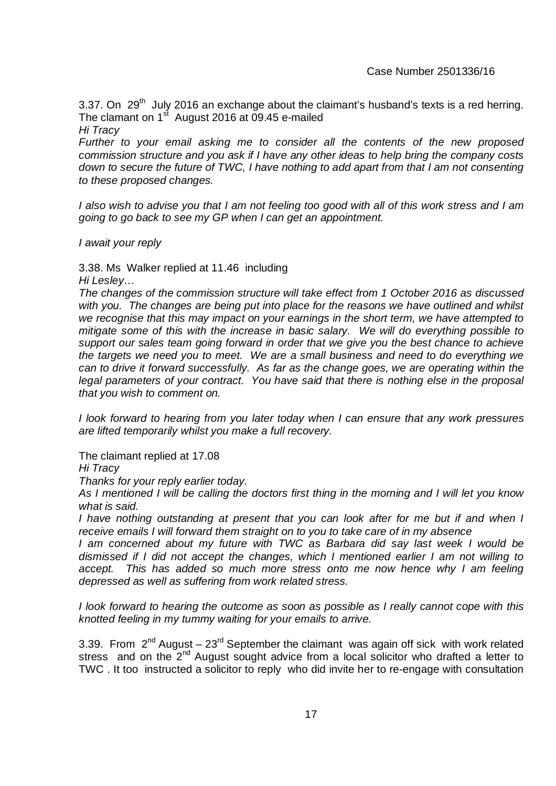3.37. On  $29<sup>th</sup>$  July 2016 an exchange about the claimant's husband's texts is a red herring. The clamant on  $1<sup>st</sup>$  August 2016 at 09.45 e-mailed

*Hi Tracy*

*Further to your email asking me to consider all the contents of the new proposed commission structure and you ask if I have any other ideas to help bring the company costs down to secure the future of TWC, I have nothing to add apart from that I am not consenting to these proposed changes.*

*I also wish to advise you that I am not feeling too good with all of this work stress and I am going to go back to see my GP when I can get an appointment.*

*I await your reply*

3.38. Ms Walker replied at 11.46 including

*Hi Lesley…*

*The changes of the commission structure will take effect from 1 October 2016 as discussed with you. The changes are being put into place for the reasons we have outlined and whilst we recognise that this may impact on your earnings in the short term, we have attempted to mitigate some of this with the increase in basic salary. We will do everything possible to support our sales team going forward in order that we give you the best chance to achieve the targets we need you to meet. We are a small business and need to do everything we can to drive it forward successfully. As far as the change goes, we are operating within the legal parameters of your contract. You have said that there is nothing else in the proposal that you wish to comment on.*

*I look forward to hearing from you later today when I can ensure that any work pressures are lifted temporarily whilst you make a full recovery.*

The claimant replied at 17.08

*Hi Tracy*

*Thanks for your reply earlier today.*

*As I mentioned I will be calling the doctors first thing in the morning and I will let you know what is said.*

*I have nothing outstanding at present that you can look after for me but if and when I receive emails I will forward them straight on to you to take care of in my absence*

*I am concerned about my future with TWC as Barbara did say last week I would be dismissed if I did not accept the changes, which I mentioned earlier I am not willing to accept. This has added so much more stress onto me now hence why I am feeling depressed as well as suffering from work related stress.*

*I look forward to hearing the outcome as soon as possible as I really cannot cope with this knotted feeling in my tummy waiting for your emails to arrive.*

3.39. From  $2^{nd}$  August –  $23^{rd}$  September the claimant was again off sick with work related stress and on the  $2^{nd}$  August sought advice from a local solicitor who drafted a letter to TWC . It too instructed a solicitor to reply who did invite her to re-engage with consultation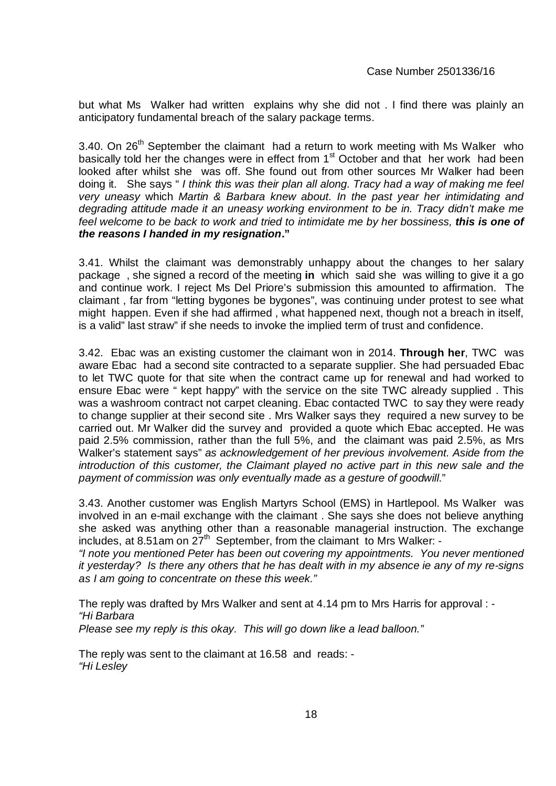but what Ms Walker had written explains why she did not . I find there was plainly an anticipatory fundamental breach of the salary package terms.

3.40. On  $26<sup>th</sup>$  September the claimant had a return to work meeting with Ms Walker who basically told her the changes were in effect from 1<sup>st</sup> October and that her work had been looked after whilst she was off. She found out from other sources Mr Walker had been doing it. She says " *I think this was their plan all along. Tracy had a way of making me feel very uneasy* which *Martin & Barbara knew about. In the past year her intimidating and degrading attitude made it an uneasy working environment to be in. Tracy didn't make me feel welcome to be back to work and tried to intimidate me by her bossiness, this is one of the reasons I handed in my resignation***."**

3.41. Whilst the claimant was demonstrably unhappy about the changes to her salary package , she signed a record of the meeting **in** which said she was willing to give it a go and continue work. I reject Ms Del Priore's submission this amounted to affirmation. The claimant , far from "letting bygones be bygones", was continuing under protest to see what might happen. Even if she had affirmed , what happened next, though not a breach in itself, is a valid" last straw" if she needs to invoke the implied term of trust and confidence.

3.42. Ebac was an existing customer the claimant won in 2014. **Through her**, TWC was aware Ebac had a second site contracted to a separate supplier. She had persuaded Ebac to let TWC quote for that site when the contract came up for renewal and had worked to ensure Ebac were " kept happy" with the service on the site TWC already supplied . This was a washroom contract not carpet cleaning. Ebac contacted TWC to say they were ready to change supplier at their second site . Mrs Walker says they required a new survey to be carried out. Mr Walker did the survey and provided a quote which Ebac accepted. He was paid 2.5% commission, rather than the full 5%, and the claimant was paid 2.5%, as Mrs Walker's statement says" *as acknowledgement of her previous involvement. Aside from the introduction of this customer, the Claimant played no active part in this new sale and the payment of commission was only eventually made as a gesture of goodwill*."

3.43. Another customer was English Martyrs School (EMS) in Hartlepool. Ms Walker was involved in an e-mail exchange with the claimant . She says she does not believe anything she asked was anything other than a reasonable managerial instruction. The exchange includes, at 8.51am on 27<sup>th</sup> September, from the claimant to Mrs Walker: -

*"I note you mentioned Peter has been out covering my appointments. You never mentioned it yesterday? Is there any others that he has dealt with in my absence ie any of my re-signs as I am going to concentrate on these this week."*

The reply was drafted by Mrs Walker and sent at 4.14 pm to Mrs Harris for approval : - *"Hi Barbara*

*Please see my reply is this okay. This will go down like a lead balloon."*

The reply was sent to the claimant at 16.58 and reads: - *"Hi Lesley*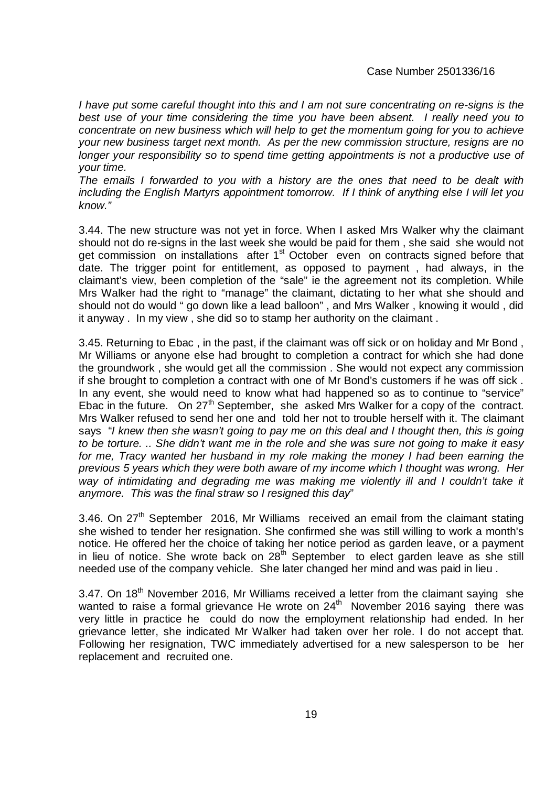*I have put some careful thought into this and I am not sure concentrating on re-signs is the best use of your time considering the time you have been absent. I really need you to concentrate on new business which will help to get the momentum going for you to achieve your new business target next month. As per the new commission structure, resigns are no longer your responsibility so to spend time getting appointments is not a productive use of your time.*

*The emails I forwarded to you with a history are the ones that need to be dealt with including the English Martyrs appointment tomorrow. If I think of anything else I will let you know."*

3.44. The new structure was not yet in force. When I asked Mrs Walker why the claimant should not do re-signs in the last week she would be paid for them , she said she would not get commission on installations after  $1<sup>st</sup>$  October even on contracts signed before that date. The trigger point for entitlement, as opposed to payment , had always, in the claimant's view, been completion of the "sale" ie the agreement not its completion. While Mrs Walker had the right to "manage" the claimant, dictating to her what she should and should not do would " go down like a lead balloon" , and Mrs Walker , knowing it would , did it anyway . In my view , she did so to stamp her authority on the claimant .

3.45. Returning to Ebac , in the past, if the claimant was off sick or on holiday and Mr Bond , Mr Williams or anyone else had brought to completion a contract for which she had done the groundwork , she would get all the commission . She would not expect any commission if she brought to completion a contract with one of Mr Bond's customers if he was off sick . In any event, she would need to know what had happened so as to continue to "service" Ebac in the future. On  $27<sup>th</sup>$  September, she asked Mrs Walker for a copy of the contract. Mrs Walker refused to send her one and told her not to trouble herself with it. The claimant says "*I knew then she wasn't going to pay me on this deal and I thought then, this is going to be torture. .. She didn't want me in the role and she was sure not going to make it easy for me, Tracy wanted her husband in my role making the money I had been earning the previous 5 years which they were both aware of my income which I thought was wrong. Her*  way of intimidating and degrading me was making me violently ill and I couldn't take it *anymore. This was the final straw so I resigned this day*"

3.46. On 27<sup>th</sup> September 2016, Mr Williams received an email from the claimant stating she wished to tender her resignation. She confirmed she was still willing to work a month's notice. He offered her the choice of taking her notice period as garden leave, or a payment in lieu of notice. She wrote back on  $28^{\text{th}}$  September to elect garden leave as she still needed use of the company vehicle. She later changed her mind and was paid in lieu .

3.47. On 18<sup>th</sup> November 2016, Mr Williams received a letter from the claimant saying she wanted to raise a formal grievance He wrote on 24<sup>th</sup> November 2016 saying there was very little in practice he could do now the employment relationship had ended. In her grievance letter, she indicated Mr Walker had taken over her role. I do not accept that. Following her resignation, TWC immediately advertised for a new salesperson to be her replacement and recruited one.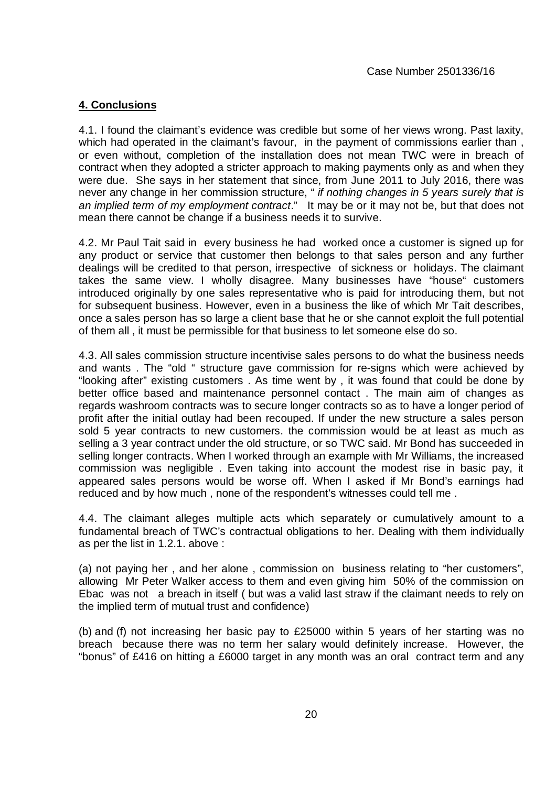## **4. Conclusions**

4.1. I found the claimant's evidence was credible but some of her views wrong. Past laxity, which had operated in the claimant's favour, in the payment of commissions earlier than, or even without, completion of the installation does not mean TWC were in breach of contract when they adopted a stricter approach to making payments only as and when they were due. She says in her statement that since, from June 2011 to July 2016, there was never any change in her commission structure, " *if nothing changes in 5 years surely that is an implied term of my employment contract*." It may be or it may not be, but that does not mean there cannot be change if a business needs it to survive.

4.2. Mr Paul Tait said in every business he had worked once a customer is signed up for any product or service that customer then belongs to that sales person and any further dealings will be credited to that person, irrespective of sickness or holidays. The claimant takes the same view. I wholly disagree. Many businesses have "house" customers introduced originally by one sales representative who is paid for introducing them, but not for subsequent business. However, even in a business the like of which Mr Tait describes, once a sales person has so large a client base that he or she cannot exploit the full potential of them all , it must be permissible for that business to let someone else do so.

4.3. All sales commission structure incentivise sales persons to do what the business needs and wants . The "old " structure gave commission for re-signs which were achieved by "looking after" existing customers . As time went by , it was found that could be done by better office based and maintenance personnel contact . The main aim of changes as regards washroom contracts was to secure longer contracts so as to have a longer period of profit after the initial outlay had been recouped. If under the new structure a sales person sold 5 year contracts to new customers. the commission would be at least as much as selling a 3 year contract under the old structure, or so TWC said. Mr Bond has succeeded in selling longer contracts. When I worked through an example with Mr Williams, the increased commission was negligible . Even taking into account the modest rise in basic pay, it appeared sales persons would be worse off. When I asked if Mr Bond's earnings had reduced and by how much , none of the respondent's witnesses could tell me .

4.4. The claimant alleges multiple acts which separately or cumulatively amount to a fundamental breach of TWC's contractual obligations to her. Dealing with them individually as per the list in 1.2.1. above :

(a) not paying her , and her alone , commission on business relating to "her customers", allowing Mr Peter Walker access to them and even giving him 50% of the commission on Ebac was not a breach in itself ( but was a valid last straw if the claimant needs to rely on the implied term of mutual trust and confidence)

(b) and (f) not increasing her basic pay to £25000 within 5 years of her starting was no breach because there was no term her salary would definitely increase. However, the "bonus" of £416 on hitting a £6000 target in any month was an oral contract term and any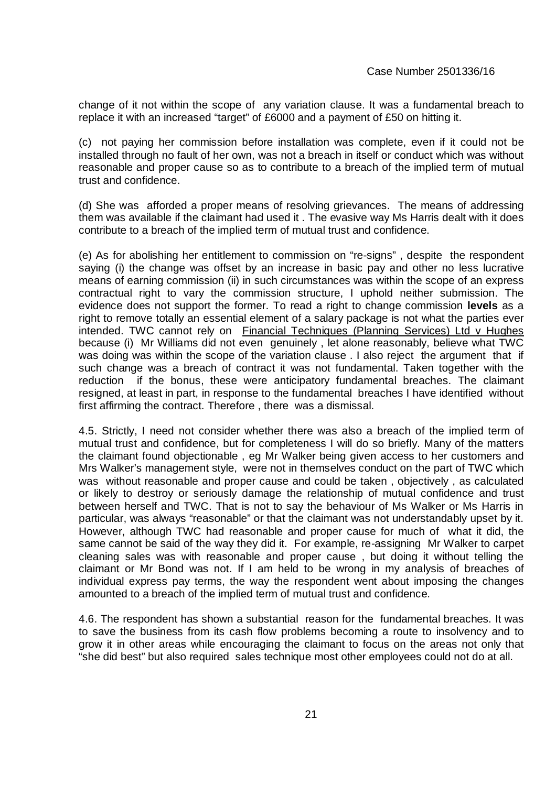change of it not within the scope of any variation clause. It was a fundamental breach to replace it with an increased "target" of £6000 and a payment of £50 on hitting it.

(c) not paying her commission before installation was complete, even if it could not be installed through no fault of her own, was not a breach in itself or conduct which was without reasonable and proper cause so as to contribute to a breach of the implied term of mutual trust and confidence.

(d) She was afforded a proper means of resolving grievances. The means of addressing them was available if the claimant had used it . The evasive way Ms Harris dealt with it does contribute to a breach of the implied term of mutual trust and confidence.

(e) As for abolishing her entitlement to commission on "re-signs" , despite the respondent saying (i) the change was offset by an increase in basic pay and other no less lucrative means of earning commission (ii) in such circumstances was within the scope of an express contractual right to vary the commission structure, I uphold neither submission. The evidence does not support the former. To read a right to change commission **levels** as a right to remove totally an essential element of a salary package is not what the parties ever intended. TWC cannot rely on Financial Techniques (Planning Services) Ltd v Hughes because (i) Mr Williams did not even genuinely , let alone reasonably, believe what TWC was doing was within the scope of the variation clause . I also reject the argument that if such change was a breach of contract it was not fundamental. Taken together with the reduction if the bonus, these were anticipatory fundamental breaches. The claimant resigned, at least in part, in response to the fundamental breaches I have identified without first affirming the contract. Therefore , there was a dismissal.

4.5. Strictly, I need not consider whether there was also a breach of the implied term of mutual trust and confidence, but for completeness I will do so briefly. Many of the matters the claimant found objectionable , eg Mr Walker being given access to her customers and Mrs Walker's management style, were not in themselves conduct on the part of TWC which was without reasonable and proper cause and could be taken , objectively , as calculated or likely to destroy or seriously damage the relationship of mutual confidence and trust between herself and TWC. That is not to say the behaviour of Ms Walker or Ms Harris in particular, was always "reasonable" or that the claimant was not understandably upset by it. However, although TWC had reasonable and proper cause for much of what it did, the same cannot be said of the way they did it. For example, re-assigning Mr Walker to carpet cleaning sales was with reasonable and proper cause , but doing it without telling the claimant or Mr Bond was not. If I am held to be wrong in my analysis of breaches of individual express pay terms, the way the respondent went about imposing the changes amounted to a breach of the implied term of mutual trust and confidence.

4.6. The respondent has shown a substantial reason for the fundamental breaches. It was to save the business from its cash flow problems becoming a route to insolvency and to grow it in other areas while encouraging the claimant to focus on the areas not only that "she did best" but also required sales technique most other employees could not do at all.